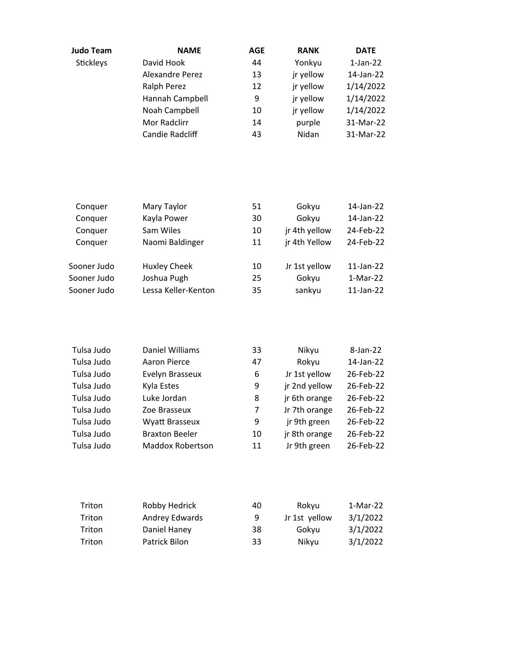| <b>Judo Team</b> | <b>NAME</b>            | <b>AGE</b> | <b>RANK</b> | <b>DATE</b> |
|------------------|------------------------|------------|-------------|-------------|
| Stickleys        | David Hook             | 44         | Yonkyu      | $1-Jan-22$  |
|                  | <b>Alexandre Perez</b> | 13         | jr yellow   | 14-Jan-22   |
|                  | Ralph Perez            | 12         | jr yellow   | 1/14/2022   |
|                  | Hannah Campbell        | 9          | jr yellow   | 1/14/2022   |
|                  | Noah Campbell          | 10         | jr yellow   | 1/14/2022   |
|                  | Mor Radclirr           | 14         | purple      | 31-Mar-22   |
|                  | <b>Candie Radcliff</b> | 43         | Nidan       | 31-Mar-22   |

| Conquer     | Mary Taylor         | 51 | Gokyu         | 14-Jan-22    |
|-------------|---------------------|----|---------------|--------------|
| Conquer     | Kayla Power         | 30 | Gokyu         | 14-Jan-22    |
| Conquer     | Sam Wiles           | 10 | jr 4th yellow | 24-Feb-22    |
| Conquer     | Naomi Baldinger     | 11 | jr 4th Yellow | 24-Feb-22    |
| Sooner Judo | <b>Huxley Cheek</b> | 10 | Jr 1st yellow | 11-Jan-22    |
| Sooner Judo | Joshua Pugh         | 25 | Gokyu         | 1-Mar-22     |
| Sooner Judo | Lessa Keller-Kenton | 35 | sankyu        | $11$ -Jan-22 |

| Tulsa Judo | Daniel Williams         | 33 | Nikyu         | 8-Jan-22  |
|------------|-------------------------|----|---------------|-----------|
| Tulsa Judo | Aaron Pierce            | 47 | Rokyu         | 14-Jan-22 |
| Tulsa Judo | Evelyn Brasseux         | 6  | Jr 1st yellow | 26-Feb-22 |
| Tulsa Judo | Kyla Estes              | 9  | jr 2nd yellow | 26-Feb-22 |
| Tulsa Judo | Luke Jordan             | 8  | jr 6th orange | 26-Feb-22 |
| Tulsa Judo | Zoe Brasseux            | 7  | Jr 7th orange | 26-Feb-22 |
| Tulsa Judo | Wyatt Brasseux          | 9  | jr 9th green  | 26-Feb-22 |
| Tulsa Judo | <b>Braxton Beeler</b>   | 10 | jr 8th orange | 26-Feb-22 |
| Tulsa Judo | <b>Maddox Robertson</b> | 11 | Jr 9th green  | 26-Feb-22 |

| Triton | Robby Hedrick  | 40 | Rokyu         | 1-Mar-22 |
|--------|----------------|----|---------------|----------|
| Triton | Andrey Edwards | 9  | Jr 1st yellow | 3/1/2022 |
| Triton | Daniel Haney   | 38 | Gokvu         | 3/1/2022 |
| Triton | Patrick Bilon  | 33 | Nikyu         | 3/1/2022 |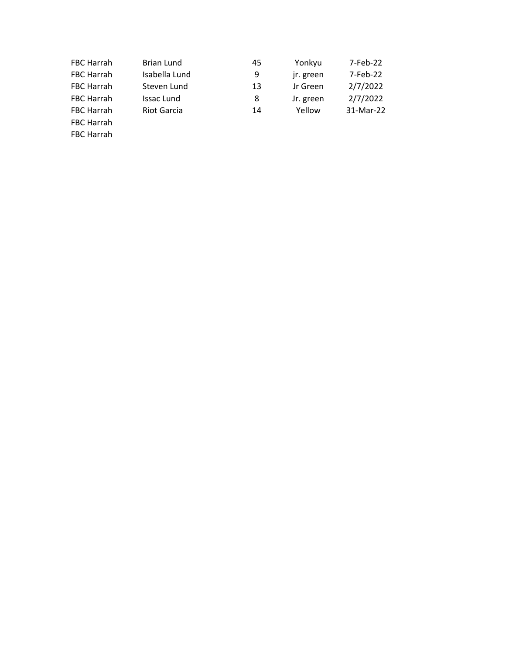| <b>FBC Harrah</b> | Brian Lund         | 45 | Yonkyu    | 7-Feb-22  |
|-------------------|--------------------|----|-----------|-----------|
| <b>FBC Harrah</b> | Isabella Lund      | 9  | jr. green | 7-Feb-22  |
| <b>FBC Harrah</b> | Steven Lund        | 13 | Jr Green  | 2/7/2022  |
| <b>FBC Harrah</b> | Issac Lund         | 8  | Jr. green | 2/7/2022  |
| <b>FBC Harrah</b> | <b>Riot Garcia</b> | 14 | Yellow    | 31-Mar-22 |
| FBC Harrah        |                    |    |           |           |
| <b>FBC Harrah</b> |                    |    |           |           |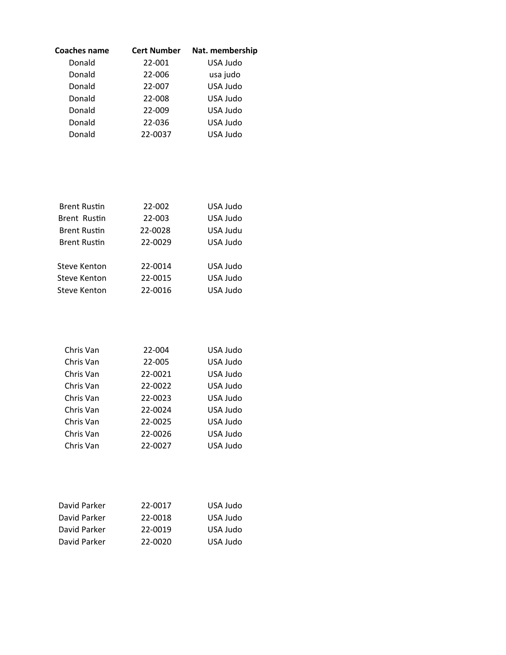| <b>Coaches name</b> | <b>Cert Number</b> | Nat. membership |
|---------------------|--------------------|-----------------|
| Donald              | 22-001             | USA Judo        |
| Donald              | 22-006             | usa judo        |
| Donald              | 22-007             | USA Judo        |
| Donald              | 22-008             | USA Judo        |
| Donald              | 22-009             | USA Judo        |
| Donald              | 22-036             | USA Judo        |
| Donald              | 22-0037            | USA Judo        |

| <b>Brent Rustin</b> | 22-002  | USA Judo |
|---------------------|---------|----------|
| <b>Brent Rustin</b> | 22-003  | USA Judo |
| <b>Brent Rustin</b> | 22-0028 | USA Judu |
| <b>Brent Rustin</b> | 22-0029 | USA Judo |
|                     |         |          |
| Steve Kenton        | 22-0014 | USA Judo |
| Steve Kenton        | 22-0015 | USA Judo |
| Steve Kenton        | 22-0016 | USA Judo |
|                     |         |          |

| Chris Van | 22-004  | USA Judo |
|-----------|---------|----------|
| Chris Van | 22-005  | USA Judo |
| Chris Van | 22-0021 | USA Judo |
| Chris Van | 22-0022 | USA Judo |
| Chris Van | 22-0023 | USA Judo |
| Chris Van | 22-0024 | USA Judo |
| Chris Van | 22-0025 | USA Judo |
| Chris Van | 22-0026 | USA Judo |
| Chris Van | 22-0027 | USA Judo |

| USA Judo |
|----------|
| USA Judo |
| USA Judo |
|          |